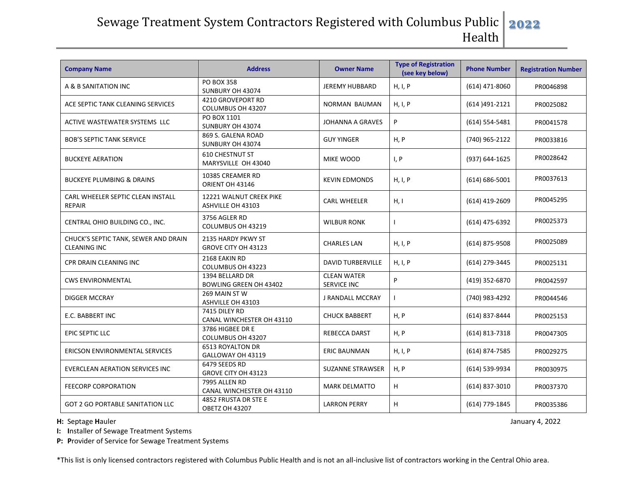## Sewage Treatment System Contractors Registered with Columbus Public **2022** Health

| <b>Company Name</b>                                         | <b>Address</b>                                   | <b>Owner Name</b>                        | <b>Type of Registration</b><br>(see key below) | <b>Phone Number</b> | <b>Registration Number</b> |
|-------------------------------------------------------------|--------------------------------------------------|------------------------------------------|------------------------------------------------|---------------------|----------------------------|
| A & B SANITATION INC                                        | <b>PO BOX 358</b><br>SUNBURY OH 43074            | JEREMY HUBBARD                           | H, I, P                                        | $(614)$ 471-8060    | PR0046898                  |
| ACE SEPTIC TANK CLEANING SERVICES                           | 4210 GROVEPORT RD<br>COLUMBUS OH 43207           | <b>NORMAN BAUMAN</b>                     | H, I, P                                        | (614) 491-2121      | PR0025082                  |
| ACTIVE WASTEWATER SYSTEMS LLC                               | PO BOX 1101<br>SUNBURY OH 43074                  | <b>JOHANNA A GRAVES</b>                  | P                                              | $(614) 554 - 5481$  | PR0041578                  |
| <b>BOB'S SEPTIC TANK SERVICE</b>                            | 869 S. GALENA ROAD<br>SUNBURY OH 43074           | <b>GUY YINGER</b>                        | H, P                                           | (740) 965-2122      | PR0033816                  |
| <b>BUCKEYE AERATION</b>                                     | <b>610 CHESTNUT ST</b><br>MARYSVILLE OH 43040    | MIKE WOOD                                | I, P                                           | (937) 644-1625      | PR0028642                  |
| <b>BUCKEYE PLUMBING &amp; DRAINS</b>                        | 10385 CREAMER RD<br>ORIENT OH 43146              | <b>KEVIN EDMONDS</b>                     | H, I, P                                        | $(614) 686 - 5001$  | PR0037613                  |
| CARL WHEELER SEPTIC CLEAN INSTALL<br><b>REPAIR</b>          | 12221 WALNUT CREEK PIKE<br>ASHVILLE OH 43103     | <b>CARL WHEELER</b>                      | H, I                                           | (614) 419-2609      | PR0045295                  |
| CENTRAL OHIO BUILDING CO., INC.                             | 3756 AGLER RD<br>COLUMBUS OH 43219               | <b>WILBUR RONK</b>                       |                                                | (614) 475-6392      | PR0025373                  |
| CHUCK'S SEPTIC TANK, SEWER AND DRAIN<br><b>CLEANING INC</b> | 2135 HARDY PKWY ST<br>GROVE CITY OH 43123        | <b>CHARLES LAN</b>                       | H, I, P                                        | (614) 875-9508      | PR0025089                  |
| CPR DRAIN CLEANING INC                                      | 2168 EAKIN RD<br>COLUMBUS OH 43223               | <b>DAVID TURBERVILLE</b>                 | H, I, P                                        | (614) 279-3445      | PR0025131                  |
| <b>CWS ENVIRONMENTAL</b>                                    | 1394 BELLARD DR<br><b>BOWLING GREEN OH 43402</b> | <b>CLEAN WATER</b><br><b>SERVICE INC</b> | P                                              | (419) 352-6870      | PR0042597                  |
| <b>DIGGER MCCRAY</b>                                        | 269 MAIN ST W<br>ASHVILLE OH 43103               | J RANDALL MCCRAY                         |                                                | (740) 983-4292      | PR0044546                  |
| E.C. BABBERT INC                                            | 7415 DILEY RD<br>CANAL WINCHESTER OH 43110       | <b>CHUCK BABBERT</b>                     | H, P                                           | (614) 837-8444      | PR0025153                  |
| EPIC SEPTIC LLC                                             | 3786 HIGBEE DR E<br>COLUMBUS OH 43207            | REBECCA DARST                            | H, P                                           | (614) 813-7318      | PR0047305                  |
| <b>ERICSON ENVIRONMENTAL SERVICES</b>                       | <b>6513 ROYALTON DR</b><br>GALLOWAY OH 43119     | <b>ERIC BAUNMAN</b>                      | H, I, P                                        | (614) 874-7585      | PR0029275                  |
| EVERCLEAN AERATION SERVICES INC                             | 6479 SEEDS RD<br>GROVE CITY OH 43123             | <b>SUZANNE STRAWSER</b>                  | H, P                                           | (614) 539-9934      | PR0030975                  |
| <b>FEECORP CORPORATION</b>                                  | 7995 ALLEN RD<br>CANAL WINCHESTER OH 43110       | <b>MARK DELMATTO</b>                     | H                                              | (614) 837-3010      | PR0037370                  |
| <b>GOT 2 GO PORTABLE SANITATION LLC</b>                     | 4852 FRUSTA DR STE E<br><b>OBETZ OH 43207</b>    | <b>LARRON PERRY</b>                      | H                                              | (614) 779-1845      | PR0035386                  |

**H:** Septage Hauler January 4, 2022

**I: I**nstaller of Sewage Treatment Systems

**P: P**rovider of Service for Sewage Treatment Systems

\*This list is only licensed contractors registered with Columbus Public Health and is not an all-inclusive list of contractors working in the Central Ohio area.